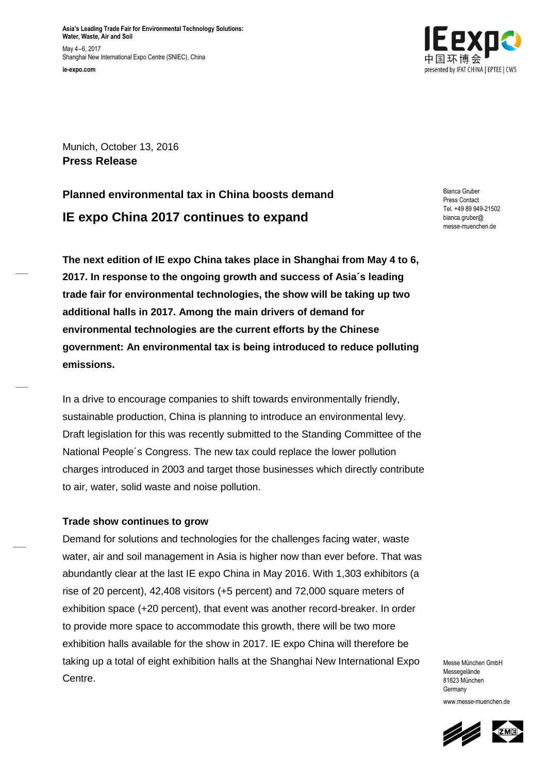**Asia's Leading Trade Fair for Environmental Technology Solutions: Water, Waste, Air and Soil** May 4–6, 2017 Shanghai New International Expo Centre (SNIEC), China **ie-expo.com**



Munich, October 13, 2016 **Press Release**

# **Planned environmental tax in China boosts demand IE expo China 2017 continues to expand**

Bianca Gruber Press Contact Tel. +49 89 949-21502 bianca.gruber@ messe-muenchen.de

**The next edition of IE expo China takes place in Shanghai from May 4 to 6, 2017. In response to the ongoing growth and success of Asia´s leading trade fair for environmental technologies, the show will be taking up two additional halls in 2017. Among the main drivers of demand for environmental technologies are the current efforts by the Chinese government: An environmental tax is being introduced to reduce polluting emissions.**

In a drive to encourage companies to shift towards environmentally friendly, sustainable production, China is planning to introduce an environmental levy. Draft legislation for this was recently submitted to the Standing Committee of the National People´s Congress. The new tax could replace the lower pollution charges introduced in 2003 and target those businesses which directly contribute to air, water, solid waste and noise pollution.

## **Trade show continues to grow**

Demand for solutions and technologies for the challenges facing water, waste water, air and soil management in Asia is higher now than ever before. That was abundantly clear at the last IE expo China in May 2016. With 1,303 exhibitors (a rise of 20 percent), 42,408 visitors (+5 percent) and 72,000 square meters of exhibition space (+20 percent), that event was another record-breaker. In order to provide more space to accommodate this growth, there will be two more exhibition halls available for the show in 2017. IE expo China will therefore be taking up a total of eight exhibition halls at the Shanghai New International Expo Centre.

Messe München GmbH Messegelände 81823 München **Germany** www.messe-muenchen.de